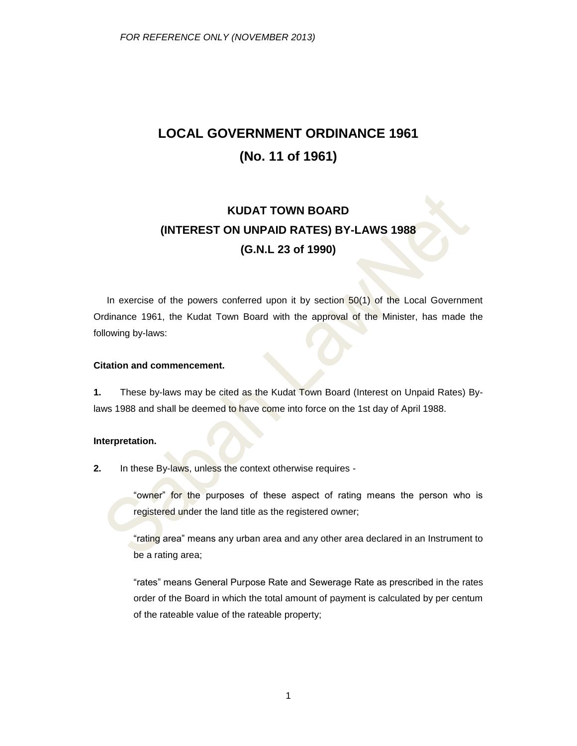# **LOCAL GOVERNMENT ORDINANCE 1961 (No. 11 of 1961)**

# **KUDAT TOWN BOARD (INTEREST ON UNPAID RATES) BY-LAWS 1988 (G.N.L 23 of 1990)**

In exercise of the powers conferred upon it by section 50(1) of the Local Government Ordinance 1961, the Kudat Town Board with the approval of the Minister, has made the following by-laws:

## **Citation and commencement.**

**1.** These by-laws may be cited as the Kudat Town Board (Interest on Unpaid Rates) Bylaws 1988 and shall be deemed to have come into force on the 1st day of April 1988.

### **Interpretation.**

**2.** In these By-laws, unless the context otherwise requires -

"owner" for the purposes of these aspect of rating means the person who is registered under the land title as the registered owner;

"rating area" means any urban area and any other area declared in an Instrument to be a rating area;

"rates" means General Purpose Rate and Sewerage Rate as prescribed in the rates order of the Board in which the total amount of payment is calculated by per centum of the rateable value of the rateable property;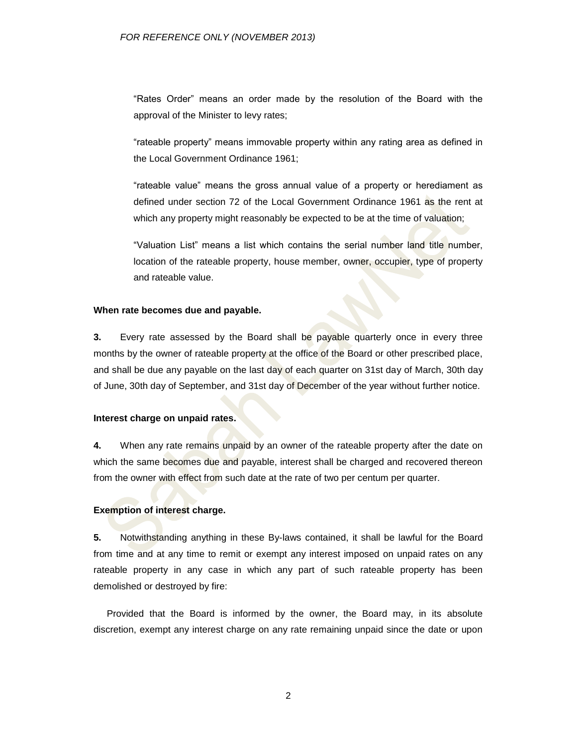"Rates Order" means an order made by the resolution of the Board with the approval of the Minister to levy rates;

"rateable property" means immovable property within any rating area as defined in the Local Government Ordinance 1961;

"rateable value" means the gross annual value of a property or herediament as defined under section 72 of the Local Government Ordinance 1961 as the rent at which any property might reasonably be expected to be at the time of valuation;

"Valuation List" means a list which contains the serial number land title number, location of the rateable property, house member, owner, occupier, type of property and rateable value.

#### **When rate becomes due and payable.**

**3.** Every rate assessed by the Board shall be payable quarterly once in every three months by the owner of rateable property at the office of the Board or other prescribed place, and shall be due any payable on the last day of each quarter on 31st day of March, 30th day of June, 30th day of September, and 31st day of December of the year without further notice.

#### **Interest charge on unpaid rates.**

**4.** When any rate remains unpaid by an owner of the rateable property after the date on which the same becomes due and payable, interest shall be charged and recovered thereon from the owner with effect from such date at the rate of two per centum per quarter.

#### **Exemption of interest charge.**

**5.** Notwithstanding anything in these By-laws contained, it shall be lawful for the Board from time and at any time to remit or exempt any interest imposed on unpaid rates on any rateable property in any case in which any part of such rateable property has been demolished or destroyed by fire:

Provided that the Board is informed by the owner, the Board may, in its absolute discretion, exempt any interest charge on any rate remaining unpaid since the date or upon